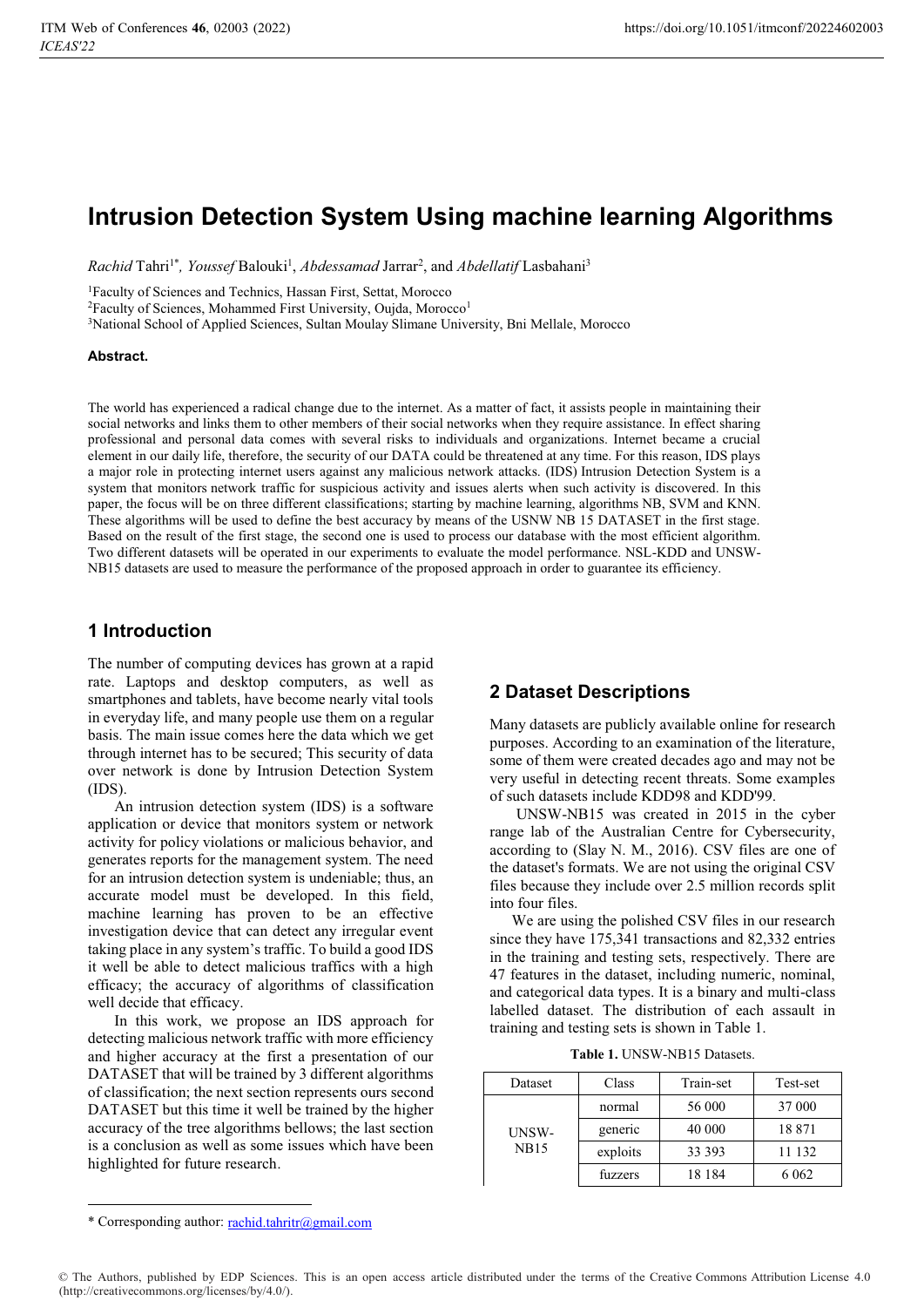# **Intrusion Detection System Using machine learning Algorithms**

*Rachid* Tahri<sup>1\*</sup>, *Youssef* Balouki<sup>1</sup>, *Abdessamad* Jarrar<sup>2</sup>, and *Abdellatif* Lasbahani<sup>3</sup>

<sup>1</sup>Faculty of Sciences and Technics, Hassan First, Settat, Morocco<sup>2</sup>Faculty of Sciences, Mohammed First University, Oujda, Morocco<sup>1</sup>

3National School of Applied Sciences, Sultan Moulay Slimane University, Bni Mellale, Morocco

#### **Abstract.**

The world has experienced a radical change due to the internet. As a matter of fact, it assists people in maintaining their social networks and links them to other members of their social networks when they require assistance. In effect sharing professional and personal data comes with several risks to individuals and organizations. Internet became a crucial element in our daily life, therefore, the security of our DATA could be threatened at any time. For this reason, IDS plays a major role in protecting internet users against any malicious network attacks. (IDS) Intrusion Detection System is a system that monitors network traffic for suspicious activity and issues alerts when such activity is discovered. In this paper, the focus will be on three different classifications; starting by machine learning, algorithms NB, SVM and KNN. These algorithms will be used to define the best accuracy by means of the USNW NB 15 DATASET in the first stage. Based on the result of the first stage, the second one is used to process our database with the most efficient algorithm. Two different datasets will be operated in our experiments to evaluate the model performance. NSL-KDD and UNSW-NB15 datasets are used to measure the performance of the proposed approach in order to guarantee its efficiency.

### **1 Introduction**

The number of computing devices has grown at a rapid rate. Laptops and desktop computers, as well as smartphones and tablets, have become nearly vital tools in everyday life, and many people use them on a regular basis. The main issue comes here the data which we get through internet has to be secured; This security of data over network is done by Intrusion Detection System (IDS).

 An intrusion detection system (IDS) is a software application or device that monitors system or network activity for policy violations or malicious behavior, and generates reports for the management system. The need for an intrusion detection system is undeniable; thus, an accurate model must be developed. In this field, machine learning has proven to be an effective investigation device that can detect any irregular event taking place in any system's traffic. To build a good IDS it well be able to detect malicious traffics with a high efficacy; the accuracy of algorithms of classification well decide that efficacy.

 In this work, we propose an IDS approach for detecting malicious network traffic with more efficiency and higher accuracy at the first a presentation of our DATASET that will be trained by 3 different algorithms of classification; the next section represents ours second DATASET but this time it well be trained by the higher accuracy of the tree algorithms bellows; the last section is a conclusion as well as some issues which have been highlighted for future research.

### **2 Dataset Descriptions**

Many datasets are publicly available online for research purposes. According to an examination of the literature, some of them were created decades ago and may not be very useful in detecting recent threats. Some examples of such datasets include KDD98 and KDD'99.

 UNSW-NB15 was created in 2015 in the cyber range lab of the Australian Centre for Cybersecurity, according to (Slay N. M., 2016). CSV files are one of the dataset's formats. We are not using the original CSV files because they include over 2.5 million records split into four files.

We are using the polished CSV files in our research since they have 175,341 transactions and 82,332 entries in the training and testing sets, respectively. There are 47 features in the dataset, including numeric, nominal, and categorical data types. It is a binary and multi-class labelled dataset. The distribution of each assault in training and testing sets is shown in Table 1.

**Table 1.** UNSW-NB15 Datasets.

| Dataset              | Class    | Train-set | Test-set |
|----------------------|----------|-----------|----------|
| UNSW-<br><b>NB15</b> | normal   | 56 000    | 37 000   |
|                      | generic  | 40 000    | 18871    |
|                      | exploits | 33 393    | 11 132   |
|                      | fuzzers  | 18 184    | 6 0 6 2  |

<u>.</u>

<sup>\*</sup> Corresponding author: rachid.tahritr@gmail.com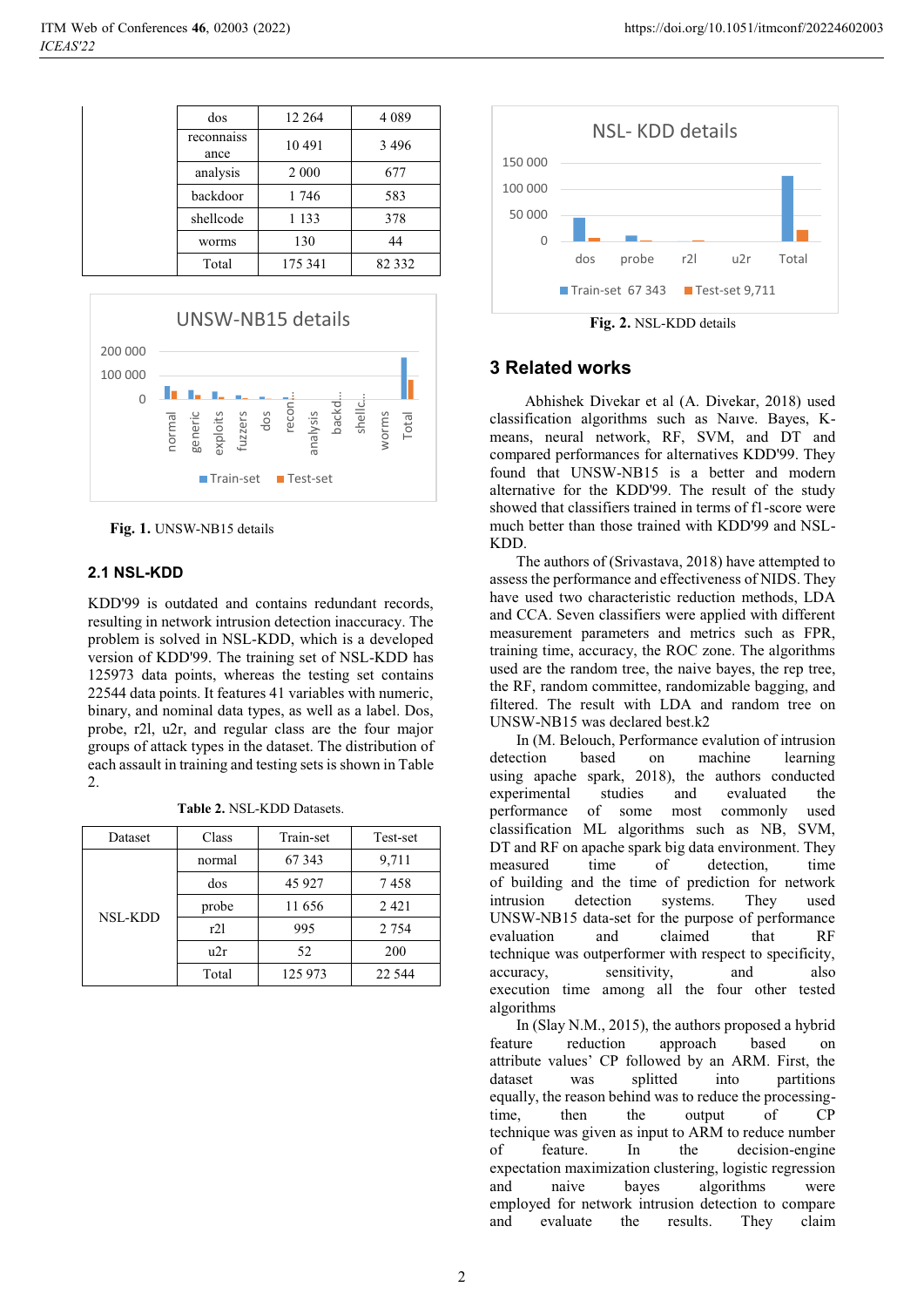| dos                | 12 2 64 | 4 0 8 9 |
|--------------------|---------|---------|
| reconnaiss<br>ance | 10491   | 3496    |
| analysis           | 2 0 0 0 | 677     |
| backdoor           | 1746    | 583     |
| shellcode          | 1 1 3 3 | 378     |
| worms              | 130     | 44      |
| Total              | 175 341 | 82 3 32 |



**Fig. 1.** UNSW-NB15 details

#### **2.1 NSL-KDD**

KDD'99 is outdated and contains redundant records, resulting in network intrusion detection inaccuracy. The problem is solved in NSL-KDD, which is a developed version of KDD'99. The training set of NSL-KDD has 125973 data points, whereas the testing set contains 22544 data points. It features 41 variables with numeric, binary, and nominal data types, as well as a label. Dos, probe, r2l, u2r, and regular class are the four major groups of attack types in the dataset. The distribution of each assault in training and testing sets is shown in Table 2.

|  | Table 2. NSL-KDD Datasets. |  |
|--|----------------------------|--|
|  |                            |  |

| Dataset        | Class  | Train-set | Test-set |
|----------------|--------|-----------|----------|
| <b>NSL-KDD</b> | normal | 67 343    | 9,711    |
|                | dos    | 45 9 27   | 7458     |
|                | probe  | 11656     | 2421     |
|                | r21    | 995       | 2 7 5 4  |
|                | u2r    | 52        | 200      |
|                | Total  | 125 973   | 22 544   |



#### **3 Related works**

 Abhishek Divekar et al (A. Divekar, 2018) used classification algorithms such as Naıve. Bayes, Kmeans, neural network, RF, SVM, and DT and compared performances for alternatives KDD'99. They found that UNSW-NB15 is a better and modern alternative for the KDD'99. The result of the study showed that classifiers trained in terms of f1-score were much better than those trained with KDD'99 and NSL-KDD.

 The authors of (Srivastava, 2018) have attempted to assess the performance and effectiveness of NIDS. They have used two characteristic reduction methods, LDA and CCA. Seven classifiers were applied with different measurement parameters and metrics such as FPR, training time, accuracy, the ROC zone. The algorithms used are the random tree, the naive bayes, the rep tree, the RF, random committee, randomizable bagging, and filtered. The result with LDA and random tree on UNSW-NB15 was declared best.k2

 In (M. Belouch, Performance evalution of intrusion detection based on machine learning using apache spark, 2018), the authors conducted experimental studies and evaluated the performance of some most commonly used classification ML algorithms such as NB, SVM, DT and RF on apache spark big data environment. They measured time of detection, time of building and the time of prediction for network intrusion detection systems. They used UNSW-NB15 data-set for the purpose of performance evaluation and claimed that RF technique was outperformer with respect to specificity, accuracy, sensitivity, and also execution time among all the four other tested algorithms

 In (Slay N.M., 2015), the authors proposed a hybrid feature reduction approach based on attribute values' CP followed by an ARM. First, the dataset was splitted into partitions equally, the reason behind was to reduce the processingtime, then the output of CP technique was given as input to ARM to reduce number of feature. In the decision-engine expectation maximization clustering, logistic regression and naive bayes algorithms were employed for network intrusion detection to compare and evaluate the results. They claim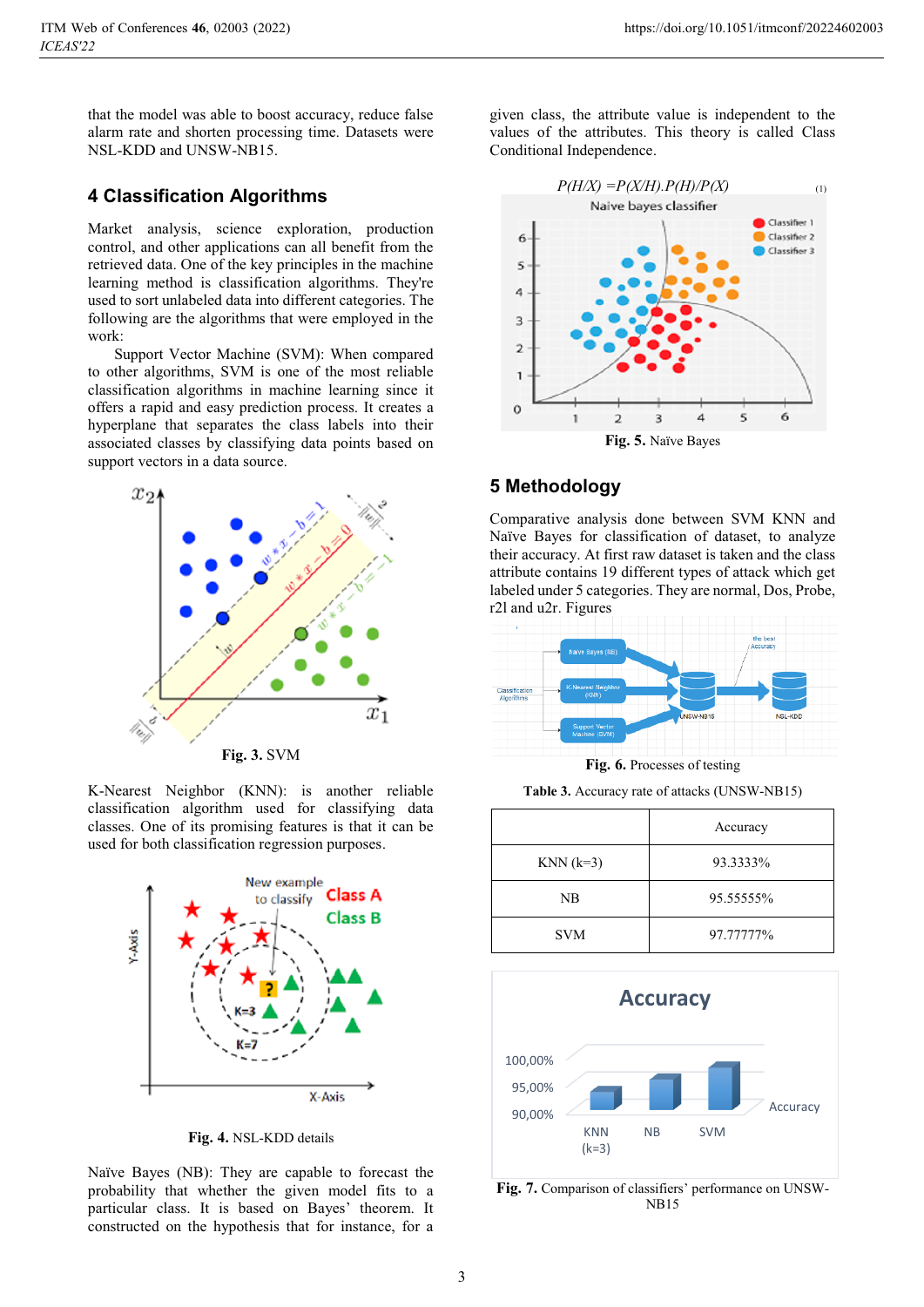that the model was able to boost accuracy, reduce false alarm rate and shorten processing time. Datasets were NSL-KDD and UNSW-NB15.

### **4 Classification Algorithms**

Market analysis, science exploration, production control, and other applications can all benefit from the retrieved data. One of the key principles in the machine learning method is classification algorithms. They're used to sort unlabeled data into different categories. The following are the algorithms that were employed in the work:

 Support Vector Machine (SVM): When compared to other algorithms, SVM is one of the most reliable classification algorithms in machine learning since it offers a rapid and easy prediction process. It creates a hyperplane that separates the class labels into their associated classes by classifying data points based on support vectors in a data source.



**Fig. 3.** SVM

K-Nearest Neighbor (KNN): is another reliable classification algorithm used for classifying data classes. One of its promising features is that it can be used for both classification regression purposes.



**Fig. 4.** NSL-KDD details

Naïve Bayes (NB): They are capable to forecast the probability that whether the given model fits to a particular class. It is based on Bayes' theorem. It constructed on the hypothesis that for instance, for a given class, the attribute value is independent to the values of the attributes. This theory is called Class Conditional Independence.



## **5 Methodology**

Comparative analysis done between SVM KNN and Naïve Bayes for classification of dataset, to analyze their accuracy. At first raw dataset is taken and the class attribute contains 19 different types of attack which get labeled under 5 categories. They are normal, Dos, Probe, r2l and u2r. Figures



**Fig. 6.** Processes of testing

**Table 3.** Accuracy rate of attacks (UNSW-NB15)

|             | Accuracy  |
|-------------|-----------|
| $KNN (k=3)$ | 93.3333%  |
| <b>NB</b>   | 95.55555% |
| <b>SVM</b>  | 97.77777% |



**Fig. 7.** Comparison of classifiers' performance on UNSW-NB15